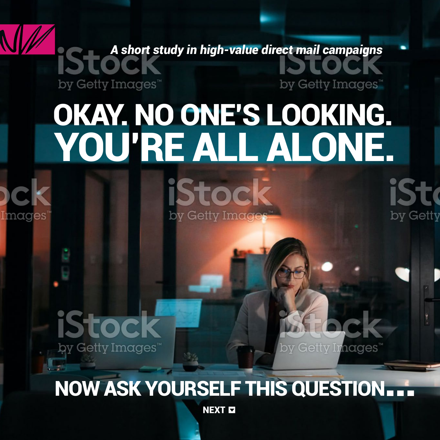*A short study in high-value direct mail campaigns*

by Getty Images"

**IStoc** 

by Getty Images<sup>®</sup>

**Images** 

by Getty Images'

by Getty Images

by Getty

# OKAY. NO ONE'S LOOKING. YOU'RE ALL ALONE.



NOW ASK YOURSELF THIS QUESTION...

**NEXT EX**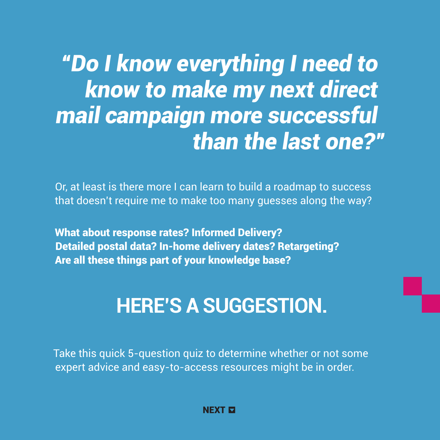*"Do I know everything I need to know to make my next direct mail campaign more successful than the last one?"*

Or, at least is there more I can learn to build a roadmap to success that doesn't require me to make too many guesses along the way?

What about response rates? Informed Delivery? Detailed postal data? In-home delivery dates? Retargeting? Are all these things part of your knowledge base?

## **HERE'S A SUGGESTION.**

Take this quick 5-question quiz to determine whether or not some expert advice and easy-to-access resources might be in order.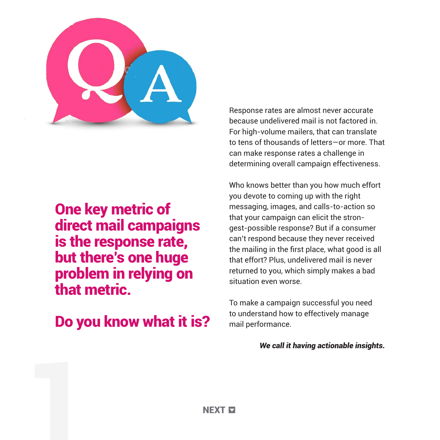

#### One key metric of direct mail campaigns is the response rate, but there's one huge problem in relying on that metric.

Do you know what it is?

Response rates are almost never accurate because undelivered mail is not factored in. For high-volume mailers, that can translate to tens of thousands of letters—or more. That can make response rates a challenge in determining overall campaign effectiveness.

Who knows better than you how much effort you devote to coming up with the right messaging, images, and calls-to-action so that your campaign can elicit the strongest-possible response? But if a consumer can't respond because they never received the mailing in the first place, what good is all that effort? Plus, undelivered mail is never returned to you, which simply makes a bad situation even worse.

To make a campaign successful you need to understand how to effectively manage mail performance.

*We call it having actionable insights.*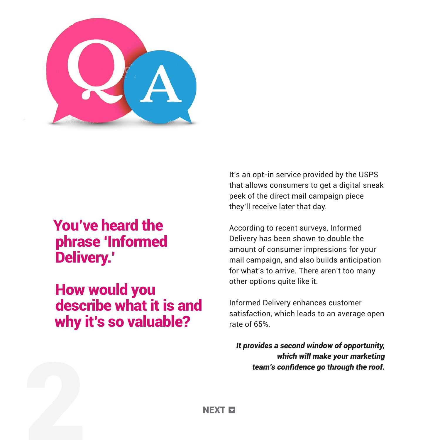

## You've heard the phrase 'Informed Delivery.'

How would you describe what it is and why it's so valuable?

It's an opt-in service provided by the USPS that allows consumers to get a digital sneak peek of the direct mail campaign piece they'll receive later that day.

According to recent surveys, Informed Delivery has been shown to double the amount of consumer impressions for your mail campaign, and also builds anticipation for what's to arrive. There aren't too many other options quite like it.

Informed Delivery enhances customer satisfaction, which leads to an average open rate of 65%.

*It provides a second window of opportunity, which will make your marketing team's confidence go through the roof.*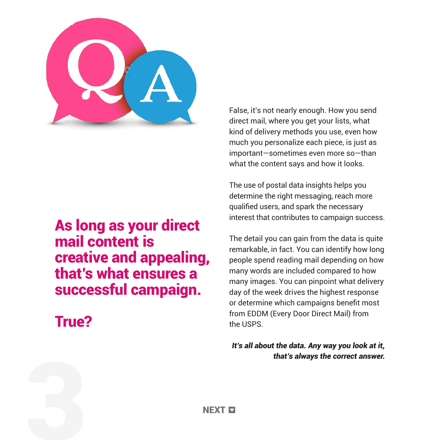

#### As long as your direct mail content is creative and appealing, that's what ensures a successful campaign.

### True?

False, it's not nearly enough. How you send direct mail, where you get your lists, what kind of delivery methods you use, even how much you personalize each piece, is just as important—sometimes even more so—than what the content says and how it looks.

The use of postal data insights helps you determine the right messaging, reach more qualified users, and spark the necessary interest that contributes to campaign success.

The detail you can gain from the data is quite remarkable, in fact. You can identify how long people spend reading mail depending on how many words are included compared to how many images. You can pinpoint what delivery day of the week drives the highest response or determine which campaigns benefit most from EDDM (Every Door Direct Mail) from the USPS.

*It's all about the data. Any way you look at it, that's always the correct answer.* 

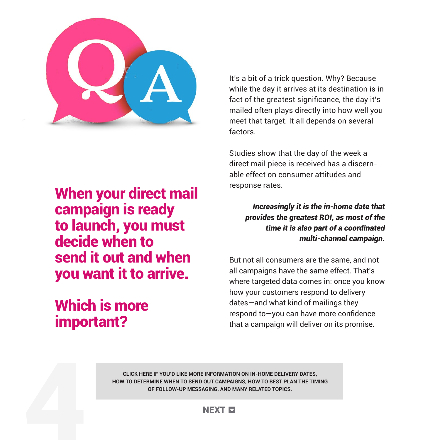

When your direct mail campaign is ready to launch, you must decide when to send it out and when you want it to arrive.

## Which is more important?

It's a bit of a trick question. Why? Because while the day it arrives at its destination is in fact of the greatest significance, the day it's mailed often plays directly into how well you meet that target. It all depends on several factors.

Studies show that the day of the week a direct mail piece is received has a discernable effect on consumer attitudes and response rates.

> *Increasingly it is the in-home date that provides the greatest ROI, as most of the time it is also part of a coordinated multi-channel campaign.*

But not all consumers are the same, and not all campaigns have the same effect. That's where targeted data comes in: once you know how your customers respond to delivery dates—and what kind of mailings they respond to—you can have more confidence that a campaign will deliver on its promise.

**CLICK HERE IF YOU'D LIKE MORE INFORMATION ON IN-HOME DELIVERY DATES, HOW TO DETERMINE WHEN TO SEND OUT CAMPAIGNS, HOW TO BEST PLAN THE TIMING OF FOLLOW-UP MESSAGING, AND MANY RELATED TOPICS.**

#### **NEXT E**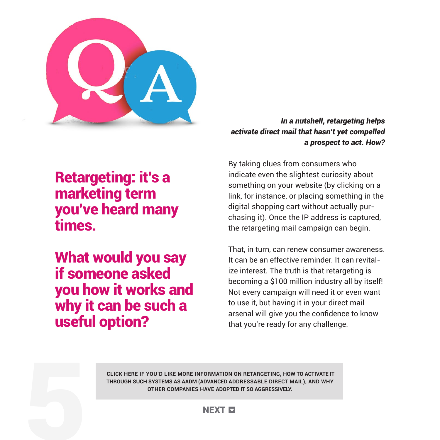

#### *In a nutshell, retargeting helps activate direct mail that hasn't yet compelled a prospect to act. How?*

Retargeting: it's a marketing term you've heard many times.

What would you say if someone asked you how it works and why it can be such a useful option?

By taking clues from consumers who indicate even the slightest curiosity about something on your website (by clicking on a link, for instance, or placing something in the digital shopping cart without actually purchasing it). Once the IP address is captured, the retargeting mail campaign can begin.

That, in turn, can renew consumer awareness. It can be an effective reminder. It can revitalize interest. The truth is that retargeting is becoming a \$100 million industry all by itself! Not every campaign will need it or even want to use it, but having it in your direct mail arsenal will give you the confidence to know that you're ready for any challenge.

 **CLICK HERE IF YOU'D LIKE MORE INFORMATION ON RETARGETING, HOW TO ACTIVATE IT THROUGH SUCH SYSTEMS AS AADM (ADVANCED ADDRESSABLE DIRECT MAIL), AND WHY OTHER COMPANIES HAVE ADOPTED IT SO AGGRESSIVELY.** 

#### **NEXT E**